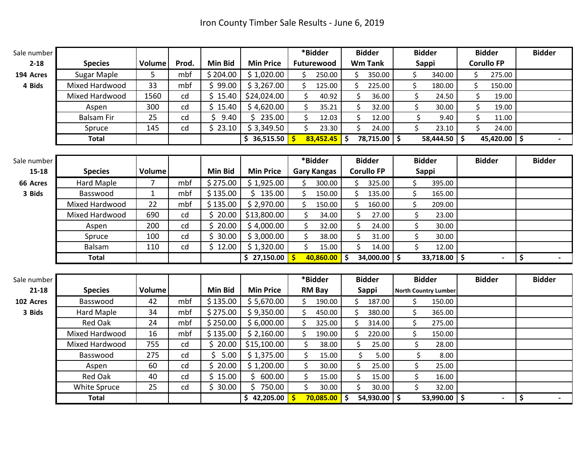| Sale number |                    |                |       |                |                  | *Bidder                     | <b>Bidder</b>               | <b>Bidder</b>               | <b>Bidder</b>     | <b>Bidder</b>                        |
|-------------|--------------------|----------------|-------|----------------|------------------|-----------------------------|-----------------------------|-----------------------------|-------------------|--------------------------------------|
| $2 - 18$    | <b>Species</b>     | <b>Volume</b>  | Prod. | <b>Min Bid</b> | <b>Min Price</b> | Futurewood                  | <b>Wm Tank</b>              | Sappi                       | <b>Corullo FP</b> |                                      |
| 194 Acres   | <b>Sugar Maple</b> | 5              | mbf   | \$204.00       | \$1,020.00       | ς.<br>250.00                | 350.00<br>ς.                | \$<br>340.00                | \$<br>275.00      |                                      |
| 4 Bids      | Mixed Hardwood     | 33             | mbf   | \$99.00        | \$3,267.00       | Ś.<br>125.00                | \$<br>225.00                | \$<br>180.00                | \$<br>150.00      |                                      |
|             | Mixed Hardwood     | 1560           | cd    | \$15.40        | \$24,024.00      | Ś.<br>40.92                 | \$<br>36.00                 | \$<br>24.50                 | \$<br>19.00       |                                      |
|             | Aspen              | 300            | cd    | Ś.<br>15.40    | \$4,620.00       | $\mathsf{\dot{S}}$<br>35.21 | \$<br>32.00                 | \$<br>30.00                 | \$<br>19.00       |                                      |
|             | <b>Balsam Fir</b>  | 25             | cd    | Ś.<br>9.40     | \$235.00         | \$<br>12.03                 | \$<br>12.00                 | \$<br>9.40                  | \$<br>11.00       |                                      |
|             | Spruce             | 145            | cd    | \$<br>23.10    | \$3,349.50       | \$<br>23.30                 | \$<br>24.00                 | \$<br>23.10                 | $\zeta$<br>24.00  |                                      |
|             | <b>Total</b>       |                |       |                | \$36,515.50      | $83,452.45$ \$              | $78,715.00$ \$              | 58,444.50 \$                | $45,420.00$ \$    |                                      |
|             |                    |                |       |                |                  |                             |                             |                             |                   |                                      |
| Sale number |                    |                |       |                |                  | *Bidder                     | <b>Bidder</b>               | <b>Bidder</b>               | <b>Bidder</b>     | <b>Bidder</b>                        |
| $15 - 18$   | <b>Species</b>     | <b>Volume</b>  |       | <b>Min Bid</b> | <b>Min Price</b> | <b>Gary Kangas</b>          | <b>Corullo FP</b>           | Sappi                       |                   |                                      |
| 66 Acres    | Hard Maple         | $\overline{7}$ | mbf   | \$275.00       | \$1,925.00       | Ś.<br>300.00                | \$<br>325.00                | \$<br>395.00                |                   |                                      |
| 3 Bids      | Basswood           | $\mathbf{1}$   | mbf   | \$135.00       | \$135.00         | \$<br>150.00                | \$<br>135.00                | \$<br>165.00                |                   |                                      |
|             | Mixed Hardwood     | 22             | mbf   | \$135.00       | \$2,970.00       | Ś.<br>150.00                | \$<br>160.00                | \$<br>209.00                |                   |                                      |
|             | Mixed Hardwood     | 690            | cd    | \$20.00        | \$13,800.00      | \$<br>34.00                 | \$<br>27.00                 | \$<br>23.00                 |                   |                                      |
|             | Aspen              | 200            | cd    | \$20.00        | \$4,000.00       | \$<br>32.00                 | \$<br>24.00                 | \$<br>30.00                 |                   |                                      |
|             | Spruce             | 100            | cd    | Ś.<br>30.00    | \$3,000.00       | $\mathsf{\dot{S}}$<br>38.00 | \$<br>31.00                 | \$<br>30.00                 |                   |                                      |
|             | Balsam             | 110            | cd    | \$12.00        | \$1,320.00       | $\mathsf{\hat{S}}$<br>15.00 | $\mathsf{\dot{S}}$<br>14.00 | Ś<br>12.00                  |                   |                                      |
|             | <b>Total</b>       |                |       |                | \$27,150.00      | $10,860.00$ \$              | $34,000.00$ \$              | 33,718.00                   | \$                | $\overline{\boldsymbol{\mathsf{s}}}$ |
|             |                    |                |       |                |                  |                             |                             |                             |                   |                                      |
| Sale number |                    |                |       |                |                  | *Bidder                     | <b>Bidder</b>               | <b>Bidder</b>               | <b>Bidder</b>     | <b>Bidder</b>                        |
| $21 - 18$   | <b>Species</b>     | <b>Volume</b>  |       | <b>Min Bid</b> | <b>Min Price</b> | <b>RM Bay</b>               | <b>Sappi</b>                | <b>North Country Lumber</b> |                   |                                      |
| 102 Acres   | Basswood           | 42             | mbf   | \$135.00       | \$5,670.00       | 190.00                      | 187.00                      | \$<br>150.00                |                   |                                      |
| 3 Bids      | Hard Maple         | 34             | mbf   | \$275.00       | \$9,350.00       | \$<br>450.00                | \$<br>380.00                | \$<br>365.00                |                   |                                      |
|             | <b>Red Oak</b>     | 24             | mbf   | \$250.00       | \$6,000.00       | Ś<br>325.00                 | Ś<br>314.00                 | \$<br>275.00                |                   |                                      |
|             | Mixed Hardwood     | 16             | mbf   | \$135.00       | \$2,160.00       | ς.<br>190.00                | Ś.<br>220.00                | \$<br>150.00                |                   |                                      |
|             | Mixed Hardwood     | 755            | cd    | Ś.<br>20.00    | \$15,100.00      | \$<br>38.00                 | \$<br>25.00                 | \$<br>28.00                 |                   |                                      |
|             | Basswood           | 275            | cd    | Ś.<br>5.00     | \$1,375.00       | \$<br>15.00                 | \$<br>5.00                  | \$<br>8.00                  |                   |                                      |
|             | Aspen              | 60             | cd    | Ś.<br>20.00    | \$1,200.00       | $\mathsf{\dot{S}}$<br>30.00 | \$<br>25.00                 | \$<br>25.00                 |                   |                                      |
|             | <b>Red Oak</b>     | 40             | cd    | \$<br>15.00    | \$<br>600.00     | $\mathsf{\dot{S}}$<br>15.00 | \$<br>15.00                 | \$<br>16.00                 |                   |                                      |
|             | White Spruce       | 25             | cd    | Ś.<br>30.00    | \$750.00         | \$<br>30.00                 | $\mathsf{\dot{S}}$<br>30.00 | \$<br>32.00                 |                   |                                      |
|             | <b>Total</b>       |                |       |                | \$42,205.00      | $70,085.00$ \$              | $54,930.00$ \$              | $53,990.00$ \$              |                   | \$                                   |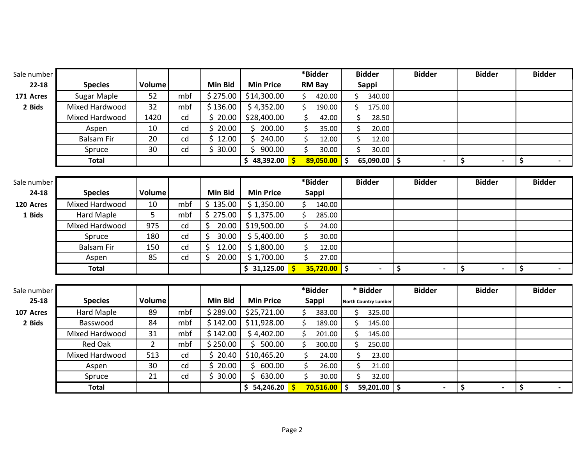| Sale number |                    |                |     |                |                  | *Bidder                    | <b>Bidder</b>               | <b>Bidder</b>        | <b>Bidder</b>        | <b>Bidder</b> |
|-------------|--------------------|----------------|-----|----------------|------------------|----------------------------|-----------------------------|----------------------|----------------------|---------------|
| $22 - 18$   | <b>Species</b>     | <b>Volume</b>  |     | <b>Min Bid</b> | <b>Min Price</b> | <b>RM Bay</b>              | <b>Sappi</b>                |                      |                      |               |
| 171 Acres   | <b>Sugar Maple</b> | 52             | mbf | \$275.00       | \$14,300.00      | Ś.<br>420.00               | Ś.<br>340.00                |                      |                      |               |
| 2 Bids      | Mixed Hardwood     | 32             | mbf | \$136.00       | \$4,352.00       | \$<br>190.00               | \$<br>175.00                |                      |                      |               |
|             | Mixed Hardwood     | 1420           | cd  | \$20.00        | \$28,400.00      | Ś.<br>42.00                | \$<br>28.50                 |                      |                      |               |
|             | Aspen              | 10             | cd  | \$20.00        | \$200.00         | Ś.<br>35.00                | \$<br>20.00                 |                      |                      |               |
|             | <b>Balsam Fir</b>  | 20             | cd  | \$12.00        | \$.<br>240.00    | \$<br>12.00                | \$<br>12.00                 |                      |                      |               |
|             | Spruce             | 30             | cd  | \$30.00        | \$900.00         | \$<br>30.00                | \$<br>30.00                 |                      |                      |               |
|             | Total              |                |     |                | \$48,392.00      | $89,050.00$ \$             | $65,090.00$ \$              |                      | \$                   | \$<br>$\sim$  |
|             |                    |                |     |                |                  |                            |                             |                      |                      |               |
| Sale number |                    |                |     |                |                  | *Bidder                    | <b>Bidder</b>               | <b>Bidder</b>        | <b>Bidder</b>        | <b>Bidder</b> |
| $24-18$     | <b>Species</b>     | <b>Volume</b>  |     | <b>Min Bid</b> | <b>Min Price</b> | Sappi                      |                             |                      |                      |               |
| 120 Acres   | Mixed Hardwood     | 10             | mbf | \$135.00       | \$1,350.00       | \$<br>140.00               |                             |                      |                      |               |
| 1 Bids      | <b>Hard Maple</b>  | 5              | mbf | \$275.00       | \$1,375.00       | \$<br>285.00               |                             |                      |                      |               |
|             | Mixed Hardwood     | 975            | cd  | \$<br>20.00    | \$19,500.00      | 24.00                      |                             |                      |                      |               |
|             | Spruce             | 180            | cd  | \$<br>30.00    | \$5,400.00       | \$<br>30.00                |                             |                      |                      |               |
|             | <b>Balsam Fir</b>  | 150            | cd  | \$<br>12.00    | \$1,800.00       | 12.00                      |                             |                      |                      |               |
|             | Aspen              | 85             | cd  | \$<br>20.00    | \$1,700.00       | \$<br>27.00                |                             |                      |                      |               |
|             | <b>Total</b>       |                |     |                | \$31,125.00      | $35,720.00$ \$<br><b>S</b> | $\blacksquare$              | \$<br>$\blacksquare$ | \$<br>$\blacksquare$ | \$<br>$\sim$  |
|             |                    |                |     |                |                  |                            |                             |                      |                      |               |
| Sale number |                    |                |     |                |                  | *Bidder                    | * Bidder                    | <b>Bidder</b>        | <b>Bidder</b>        | <b>Bidder</b> |
| $25 - 18$   | <b>Species</b>     | Volume         |     | <b>Min Bid</b> | <b>Min Price</b> | <b>Sappi</b>               | <b>North Country Lumber</b> |                      |                      |               |
| 107 Acres   | Hard Maple         | 89             | mbf | \$289.00       | \$25,721.00      | Ś.<br>383.00               | Ś<br>325.00                 |                      |                      |               |
| 2 Bids      | Basswood           | 84             | mbf | \$142.00       | \$11,928.00      | Ś.<br>189.00               | ς.<br>145.00                |                      |                      |               |
|             | Mixed Hardwood     | 31             | mbf | \$142.00       | \$4,402.00       | ς.<br>201.00               | Ś.<br>145.00                |                      |                      |               |
|             | <b>Red Oak</b>     | $\overline{2}$ | mbf | \$250.00       | \$500.00         | ς.<br>300.00               | 250.00<br>ς.                |                      |                      |               |
|             | Mixed Hardwood     | 513            | cd  | \$20.40        | \$10,465.20      | 24.00                      | \$<br>23.00                 |                      |                      |               |
|             | Aspen              | 30             | cd  | \$20.00        | \$600.00         | \$<br>26.00                | \$<br>21.00                 |                      |                      |               |
|             | Spruce             | 21             | cd  | \$30.00        | \$<br>630.00     | Ś.<br>30.00                | Ś.<br>32.00                 |                      |                      |               |
|             | <b>Total</b>       |                |     |                | \$54,246.20      | 70,516.00<br>Ŝ             | \$<br>59,201.00 $\vert$ \$  |                      | \$                   | \$<br>$\sim$  |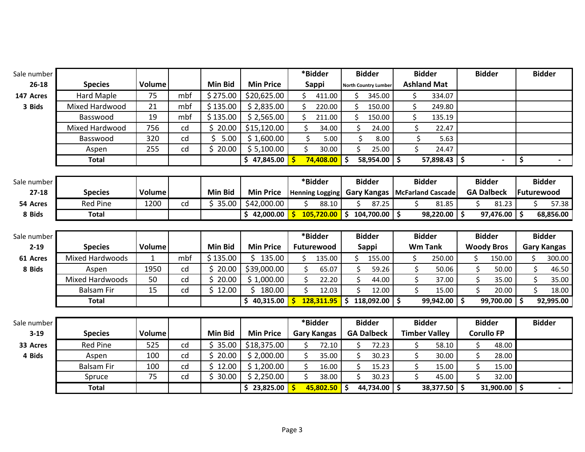| Sale number |                   |               |     |                |                  | *Bidder                    | <b>Bidder</b>                          |    | <b>Bidder</b>        |    | <b>Bidder</b>     |      | <b>Bidder</b>      |
|-------------|-------------------|---------------|-----|----------------|------------------|----------------------------|----------------------------------------|----|----------------------|----|-------------------|------|--------------------|
| $26 - 18$   | <b>Species</b>    | <b>Volume</b> |     | <b>Min Bid</b> | <b>Min Price</b> | Sappi                      | <b>North Country Lumber</b>            |    | <b>Ashland Mat</b>   |    |                   |      |                    |
| 147 Acres   | Hard Maple        | 75            | mbf | \$275.00       | \$20,625.00      | Ś.<br>411.00               | 345.00                                 | \$ | 334.07               |    |                   |      |                    |
| 3 Bids      | Mixed Hardwood    | 21            | mbf | \$135.00       | \$2,835.00       | Ś.<br>220.00               | Ś<br>150.00                            | \$ | 249.80               |    |                   |      |                    |
|             | Basswood          | 19            | mbf | \$135.00       | \$2,565.00       | 211.00                     | Ś<br>150.00                            | \$ | 135.19               |    |                   |      |                    |
|             | Mixed Hardwood    | 756           | cd  | \$20.00        | \$15,120.00      | Ś.<br>34.00                | \$<br>24.00                            | \$ | 22.47                |    |                   |      |                    |
|             | Basswood          | 320           | cd  | 5.00           | \$1,600.00       | Ś<br>5.00                  | \$<br>8.00                             | \$ | 5.63                 |    |                   |      |                    |
|             | Aspen             | 255           | cd  | \$20.00        | \$5,100.00       | \$<br>30.00                | \$<br>25.00                            | \$ | 24.47                |    |                   |      |                    |
|             | <b>Total</b>      |               |     |                | \$47,845.00      | $74,408.00$ \$             | $58,954.00$ \$                         |    | $57,898.43$ \$       |    |                   | \$   |                    |
|             |                   |               |     |                |                  |                            |                                        |    |                      |    |                   |      |                    |
| Sale number |                   |               |     |                |                  | *Bidder                    | <b>Bidder</b>                          |    | <b>Bidder</b>        |    | <b>Bidder</b>     |      | <b>Bidder</b>      |
| $27 - 18$   | <b>Species</b>    | Volume        |     | <b>Min Bid</b> | <b>Min Price</b> | <b>Henning Logging</b>     | <b>Gary Kangas   McFarland Cascade</b> |    |                      |    | <b>GA Dalbeck</b> |      | Futurewood         |
| 54 Acres    | <b>Red Pine</b>   | 1200          | cd  | \$35.00        | \$42,000.00      | \$<br>88.10                | 87.25<br>Ś                             | Ś. | 81.85                | \$ | 81.23             |      | 57.38              |
| 8 Bids      | <b>Total</b>      |               |     |                | \$42,000.00      | <u>_\$</u><br>105,720.00   | \$<br>$104,700.00$ \$                  |    | 98,220.00            | Ŝ. | 97,476.00         | l \$ | 68,856.00          |
|             |                   |               |     |                |                  |                            |                                        |    |                      |    |                   |      |                    |
|             |                   |               |     |                |                  |                            |                                        |    |                      |    |                   |      |                    |
| Sale number |                   |               |     |                |                  | *Bidder                    | <b>Bidder</b>                          |    | <b>Bidder</b>        |    | <b>Bidder</b>     |      | <b>Bidder</b>      |
| $2 - 19$    | <b>Species</b>    | Volume        |     | <b>Min Bid</b> | <b>Min Price</b> | Futurewood                 | Sappi                                  |    | <b>Wm Tank</b>       |    | <b>Woody Bros</b> |      | <b>Gary Kangas</b> |
| 61 Acres    | Mixed Hardwoods   | $\mathbf{1}$  | mbf | \$135.00       | \$135.00         | Ś.<br>135.00               | Ś.<br>155.00                           | \$ | 250.00               | \$ | 150.00            |      | Ś.<br>300.00       |
| 8 Bids      | Aspen             | 1950          | cd  | \$20.00        | \$39,000.00      | \$<br>65.07                | \$<br>59.26                            | \$ | 50.06                | \$ | 50.00             |      | \$<br>46.50        |
|             | Mixed Hardwoods   | 50            | cd  | \$20.00        | \$1,000.00       | \$<br>22.20                | \$<br>44.00                            | \$ | 37.00                | \$ | 35.00             |      | \$<br>35.00        |
|             | <b>Balsam Fir</b> | 15            | cd  | \$12.00        | \$180.00         | \$<br>12.03                | \$<br>12.00                            | \$ | 15.00                | \$ | 20.00             |      | Ś.<br>18.00        |
|             | <b>Total</b>      |               |     |                | \$40,315.00      | $\mathsf{S}$<br>128,311.95 | \$<br>$118,092.00$ \$                  |    | 99,942.00            | \$ | 99,700.00         | Ŝ.   | 92,995.00          |
|             |                   |               |     |                |                  |                            |                                        |    |                      |    |                   |      |                    |
| Sale number |                   |               |     |                |                  | *Bidder                    | <b>Bidder</b>                          |    | <b>Bidder</b>        |    | <b>Bidder</b>     |      | <b>Bidder</b>      |
| $3 - 19$    | <b>Species</b>    | Volume        |     | <b>Min Bid</b> | <b>Min Price</b> | <b>Gary Kangas</b>         | <b>GA Dalbeck</b>                      |    | <b>Timber Valley</b> |    | <b>Corullo FP</b> |      |                    |
| 33 Acres    | <b>Red Pine</b>   | 525           | cd  | \$35.00        | \$18,375.00      | \$<br>72.10                | \$<br>72.23                            | \$ | 58.10                | \$ | 48.00             |      |                    |
| 4 Bids      | Aspen             | 100           | cd  | \$20.00        | \$2,000.00       | \$<br>35.00                | \$<br>30.23                            | \$ | 30.00                | \$ | 28.00             |      |                    |
|             | <b>Balsam Fir</b> | 100           | cd  | \$12.00        | \$1,200.00       | \$<br>16.00                | \$<br>15.23                            | \$ | 15.00                | \$ | 15.00             |      |                    |
|             | Spruce            | 75            | cd  | \$30.00        | \$2,250.00       | \$<br>38.00                | \$<br>30.23                            | \$ | 45.00                | \$ | 32.00             |      |                    |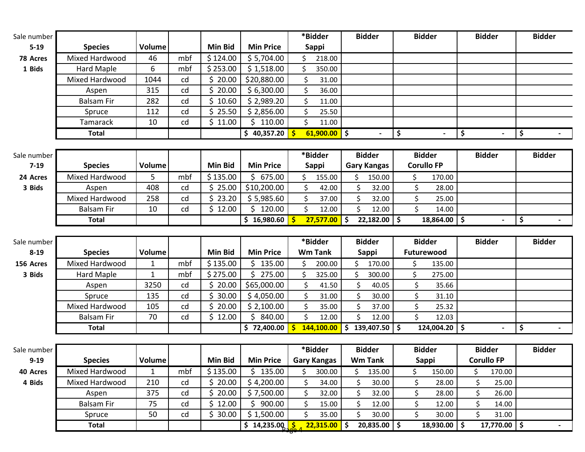| Sale number |                |        |     |                |                  | *Bidder                   | <b>Bidder</b>            | <b>Bidder</b>  | <b>Bidder</b> | <b>Bidder</b> |
|-------------|----------------|--------|-----|----------------|------------------|---------------------------|--------------------------|----------------|---------------|---------------|
| $5 - 19$    | <b>Species</b> | Volume |     | <b>Min Bid</b> | <b>Min Price</b> | Sappi                     |                          |                |               |               |
| 78 Acres    | Mixed Hardwood | 46     | mbf | \$124.00       | \$5,704.00       | 218.00                    |                          |                |               |               |
| 1 Bids      | Hard Maple     | 6      | mbf | \$253.00       | \$1,518.00       | 350.00                    |                          |                |               |               |
|             | Mixed Hardwood | 1044   | cd  | 20.00          | \$20,880.00      | 31.00                     |                          |                |               |               |
|             | Aspen          | 315    | cd  | 0.00           | \$6,300.00       | 36.00                     |                          |                |               |               |
|             | Balsam Fir     | 282    | cd  | \$10.60        | \$2,989.20       | 11.00                     |                          |                |               |               |
|             | Spruce         | 112    | cd  | 25.50          | \$2,856.00       | 25.50                     |                          |                |               |               |
|             | Tamarack       | 10     | cd  | \$11.00        | 110.00           | 11.00                     |                          |                |               |               |
|             | Total          |        |     |                | 40,357.20        | $61,900.00$ $\frac{1}{5}$ | $\overline{\phantom{0}}$ | $\blacksquare$ | $\sim$        |               |

| Sale number I |                |        |     |          |                  | *Bidder        |  | <b>Bidder</b>             | <b>Bidder</b>     |           | <b>Bidder</b> | <b>Bidder</b> |
|---------------|----------------|--------|-----|----------|------------------|----------------|--|---------------------------|-------------------|-----------|---------------|---------------|
| $7-19$        | <b>Species</b> | Volume |     | Min Bid  | <b>Min Price</b> | Sappi          |  | <b>Gary Kangas</b>        | <b>Corullo FP</b> |           |               |               |
| 24 Acres      | Mixed Hardwood |        | mbf | \$135.00 | 675.00           | 155.00         |  | 150.00                    |                   | 170.00    |               |               |
| 3 Bids        | Aspen          | 408    | cd  | 25.00    | \$10,200.00      | 42.00          |  | 32.00                     |                   | 28.00     |               |               |
|               | Mixed Hardwood | 258    | cd  | 23.20    | \$5,985.60       | 37.00          |  | 32.00                     |                   | 25.00     |               |               |
|               | Balsam Fir     | 10     | cd  | 12.00    | 120.00           | 12.00          |  | 12.00                     |                   | 14.00     |               |               |
|               | Total          |        |     |          | 16,980.60        | $27,577.00$ \$ |  | $22,182.00$ $\frac{1}{2}$ |                   | 18,864.00 |               |               |

| Sale number |                   |        |     |          |                  | *Bidder        | <b>Bidder</b> | <b>Bidder</b>     | <b>Bidder</b> | <b>Bidder</b> |
|-------------|-------------------|--------|-----|----------|------------------|----------------|---------------|-------------------|---------------|---------------|
| $8 - 19$    | <b>Species</b>    | Volume |     | Min Bid  | <b>Min Price</b> | <b>Wm Tank</b> | Sappi         | <b>Futurewood</b> |               |               |
| 156 Acres   | Mixed Hardwood    |        | mbf | \$135.00 | 135.00           | 200.00         | 170.00        | 135.00            |               |               |
| 3 Bids      | Hard Maple        |        | mbf | \$275.00 | 275.00           | 325.00         | 300.00        | 275.00            |               |               |
|             | Aspen             | 3250   | cd  | 20.00    | \$65,000.00      | 41.50          | 40.05         | 35.66             |               |               |
|             | Spruce            | 135    | cd  | 30.00    | \$4,050.00       | 31.00          | 30.00         | 31.10             |               |               |
|             | Mixed Hardwood    | 105    | cd  | 20.00    | \$2,100.00       | 35.00          | 37.00         | 25.32             |               |               |
|             | <b>Balsam Fir</b> | 70     | cd  | 12.00    | 840.00           | 12.00          | 12.00         | 12.03             |               |               |
|             | <b>Total</b>      |        |     |          | 72,400.00        | 144,100.00     | 139,407.50    | 124,004.20        |               |               |
|             |                   |        |     |          |                  |                |               |                   |               |               |

| Sale number |                   |        |     |                |                           | *Bidder            | <b>Bidder</b>    |  | <b>Bidder</b> | <b>Bidder</b>     | <b>Bidder</b> |
|-------------|-------------------|--------|-----|----------------|---------------------------|--------------------|------------------|--|---------------|-------------------|---------------|
| $9 - 19$    | <b>Species</b>    | Volume |     | <b>Min Bid</b> | <b>Min Price</b>          | <b>Gary Kangas</b> | <b>Wm Tank</b>   |  | Sappi         | <b>Corullo FP</b> |               |
| 40 Acres    | Mixed Hardwood    |        | mbf | \$135.00       | 135.00                    | 300.00             | 135.00           |  | 150.00        | 170.00            |               |
| 4 Bids      | Mixed Hardwood    | 210    | cd  | 20.00          | \$4,200.00                | 34.00              | 30.00            |  | 28.00         | 25.00             |               |
|             | Aspen             | 375    | cd  | 20.00          | \$7,500.00                | 32.00              | 32.00            |  | 28.00         | 26.00             |               |
|             | <b>Balsam Fir</b> | 75     | cd  | 12.00          | 900.00                    | 15.00              | 12.00            |  | 12.00         | 14.00             |               |
|             | Spruce            | 50     | cd  | 30.00          | \$1,500.00                | 35.00              | 30.00            |  | 30.00         | 31.00             |               |
|             | Total             |        |     |                | $14,235.00, \frac{5}{20}$ | 22,315.00          | $20,835.00$   \$ |  | 18,930.00     | 17,770.00         | $\sim$        |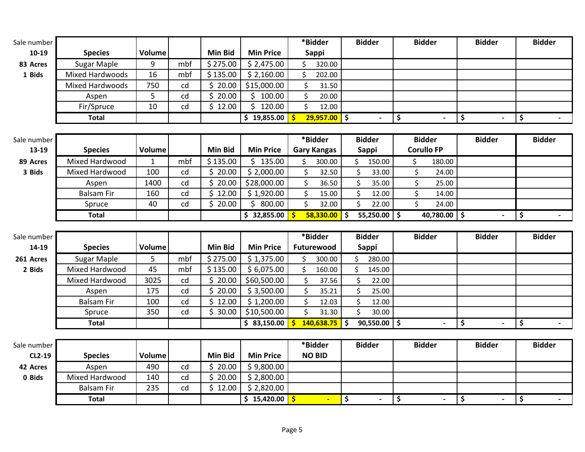| Sale number |                                   |               |     |                |                           | *Bidder                          |    | <b>Bidder</b>        |                                | <b>Bidder</b>     | <b>Bidder</b> | <b>Bidder</b> |
|-------------|-----------------------------------|---------------|-----|----------------|---------------------------|----------------------------------|----|----------------------|--------------------------------|-------------------|---------------|---------------|
| $10-19$     | <b>Species</b>                    | <b>Volume</b> |     | <b>Min Bid</b> | <b>Min Price</b>          | Sappi                            |    |                      |                                |                   |               |               |
| 83 Acres    | <b>Sugar Maple</b>                | 9             | mbf | \$275.00       | \$2,475.00                | Ś.<br>320.00                     |    |                      |                                |                   |               |               |
| 1 Bids      | <b>Mixed Hardwoods</b>            | 16            | mbf | \$135.00       | \$2,160.00                | Ś.<br>202.00                     |    |                      |                                |                   |               |               |
|             | <b>Mixed Hardwoods</b>            | 750           | cd  | \$20.00        | \$15,000.00               | \$<br>31.50                      |    |                      |                                |                   |               |               |
|             | Aspen                             | 5             | cd  | \$20.00        | \$100.00                  | \$<br>20.00                      |    |                      |                                |                   |               |               |
|             | Fir/Spruce                        | 10            | cd  | \$12.00        | \$120.00                  | \$<br>12.00                      |    |                      |                                |                   |               |               |
|             | <b>Total</b>                      |               |     |                | \$19,855.00               | $29,957.00$ \$<br>Ś              |    | $\blacksquare$       | $\vert$ \$                     |                   | \$            | \$            |
|             |                                   |               |     |                |                           |                                  |    |                      |                                |                   |               |               |
| Sale number |                                   |               |     |                |                           | *Bidder                          |    | <b>Bidder</b>        |                                | <b>Bidder</b>     | <b>Bidder</b> | <b>Bidder</b> |
| 13-19       | <b>Species</b>                    | Volume        |     | <b>Min Bid</b> | <b>Min Price</b>          | <b>Gary Kangas</b>               |    | Sappi                |                                | <b>Corullo FP</b> |               |               |
| 89 Acres    | Mixed Hardwood                    | $\mathbf{1}$  | mbf | \$135.00       | \$135.00                  | \$<br>300.00                     |    | \$<br>150.00         | \$                             | 180.00            |               |               |
| 3 Bids      | Mixed Hardwood                    | 100           | cd  | \$20.00        | \$2,000.00                | $\zeta$<br>32.50                 |    | \$<br>33.00          | \$                             | 24.00             |               |               |
|             | Aspen                             | 1400          | cd  | \$20.00        | \$28,000.00               | \$<br>36.50                      |    | \$<br>35.00          | \$                             | 25.00             |               |               |
|             | <b>Balsam Fir</b>                 | 160           | cd  | \$12.00        | \$1,920.00                | \$<br>15.00                      |    | \$<br>12.00          | \$                             | 14.00             |               |               |
|             | Spruce                            | 40            | cd  | \$20.00        | \$800.00                  | \$<br>32.00                      |    | \$<br>22.00          | \$                             | 24.00             |               |               |
|             | <b>Total</b>                      |               |     |                | \$32,855.00               | Ŝ<br>$58,330.00$ \$              |    | 55,250.00 $\vert$ \$ |                                | 40,780.00 \$      | ÷,            | \$            |
|             |                                   |               |     |                |                           |                                  |    |                      |                                |                   |               |               |
|             |                                   |               |     |                |                           |                                  |    |                      |                                |                   |               |               |
| Sale number |                                   |               |     |                |                           | *Bidder                          |    | <b>Bidder</b>        |                                | <b>Bidder</b>     | <b>Bidder</b> | <b>Bidder</b> |
| 14-19       | <b>Species</b>                    | Volume        |     | <b>Min Bid</b> | <b>Min Price</b>          | Futurewood                       |    | <b>Sappi</b>         |                                |                   |               |               |
| 261 Acres   | Sugar Maple                       | 5             | mbf | \$275.00       | \$1,375.00                | 300.00                           |    | ς<br>280.00          |                                |                   |               |               |
| 2 Bids      | Mixed Hardwood                    | 45            | mbf | \$135.00       | \$6,075.00                | \$<br>160.00                     |    | \$<br>145.00         |                                |                   |               |               |
|             | Mixed Hardwood                    | 3025          | cd  | \$20.00        | \$60,500.00               | \$<br>37.56                      |    | \$<br>22.00          |                                |                   |               |               |
|             | Aspen                             | 175           | cd  | \$20.00        | \$3,500.00                | \$<br>35.21                      |    | \$<br>25.00          |                                |                   |               |               |
|             | <b>Balsam Fir</b>                 | 100           | cd  | \$12.00        | \$1,200.00                | $\zeta$<br>12.03                 |    | \$<br>12.00          |                                |                   |               |               |
|             | Spruce                            | 350           | cd  | \$30.00        | \$10,500.00               | \$<br>31.30                      |    | \$<br>30.00          |                                |                   |               |               |
|             | <b>Total</b>                      |               |     |                | \$83,150.00               | $\mathsf{\dot{S}}$<br>140,638.75 | Ŝ  | $90,550.00$ \$       |                                |                   | \$            | \$            |
|             |                                   |               |     |                |                           |                                  |    |                      |                                |                   |               |               |
| Sale number |                                   |               |     |                |                           | *Bidder                          |    | <b>Bidder</b>        |                                | <b>Bidder</b>     | <b>Bidder</b> | <b>Bidder</b> |
| CL2-19      | <b>Species</b>                    | Volume        |     | <b>Min Bid</b> | <b>Min Price</b>          | <b>NO BID</b>                    |    |                      |                                |                   |               |               |
| 42 Acres    | Aspen                             | 490           | cd  | \$20.00        | \$9,800.00                |                                  |    |                      |                                |                   |               |               |
| 0 Bids      | Mixed Hardwood                    | 140           | cd  | \$20.00        | \$2,800.00                |                                  |    |                      |                                |                   |               |               |
|             | <b>Balsam Fir</b><br><b>Total</b> | 235           | cd  | \$12.00        | \$2,820.00<br>\$15,420.00 |                                  | \$ |                      | $\vert \mathbf{\hat{S}} \vert$ |                   | \$            | \$            |